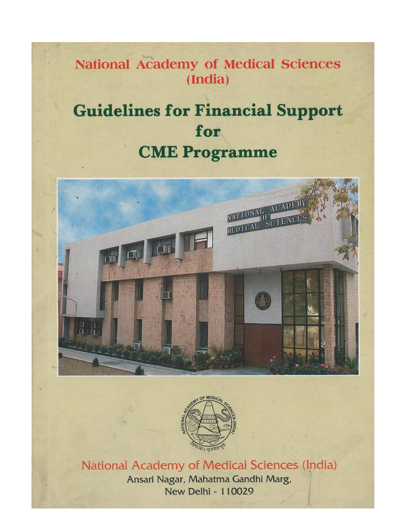## **National Academy of Medical Sciences** (India)

# **Guidelines for Financial Support** for **CME Programme**





National Academy of Medical Sciences (India) Ansari Nagar, Mahatma Gandhi Marg, New Delhi - 110029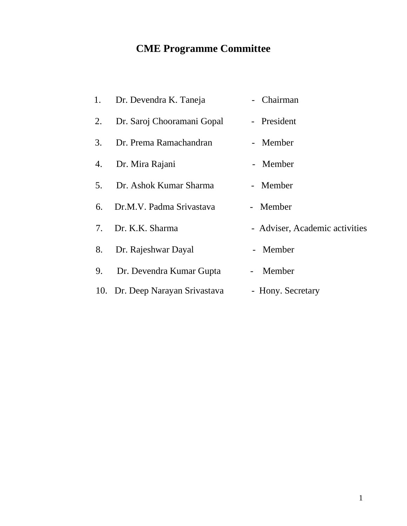## **CME Programme Committee**

| 1. | Dr. Devendra K. Taneja          | - Chairman                     |
|----|---------------------------------|--------------------------------|
| 2. | Dr. Saroj Chooramani Gopal      | - President                    |
| 3. | Dr. Prema Ramachandran          | - Member                       |
| 4. | Dr. Mira Rajani                 | - Member                       |
| 5. | Dr. Ashok Kumar Sharma          | - Member                       |
| 6. | Dr.M.V. Padma Srivastava        | - Member                       |
| 7. | Dr. K.K. Sharma                 | - Adviser, Academic activities |
| 8. | Dr. Rajeshwar Dayal             | - Member                       |
| 9. | Dr. Devendra Kumar Gupta        | - Member                       |
|    | 10. Dr. Deep Narayan Srivastava | - Hony. Secretary              |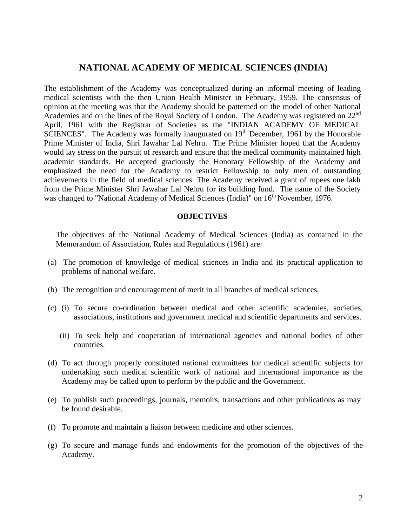#### **NATIONAL ACADEMY OF MEDICAL SCIENCES (INDIA)**

The establishment of the Academy was conceptualized during an informal meeting of leading medical scientists with the then Union Health Minister in February, 1959. The consensus of opinion at the meeting was that the Academy should be patterned on the model of other National Academies and on the lines of the Royal Society of London. The Academy was registered on 22<sup>nd</sup> April, 1961 with the Registrar of Societies as the "INDIAN ACADEMY OF MEDICAL SCIENCES". The Academy was formally inaugurated on  $19<sup>th</sup>$  December, 1961 by the Honorable Prime Minister of India, Shri Jawahar Lal Nehru. The Prime Minister hoped that the Academy would lay stress on the pursuit of research and ensure that the medical community maintained high academic standards. He accepted graciously the Honorary Fellowship of the Academy and emphasized the need for the Academy to restrict Fellowship to only men of outstanding achievements in the field of medical sciences. The Academy received a grant of rupees one lakh from the Prime Minister Shri Jawahar Lal Nehru for its building fund. The name of the Society was changed to "National Academy of Medical Sciences (India)" on  $16<sup>th</sup>$  November, 1976.

#### **OBJECTIVES**

The objectives of the National Academy of Medical Sciences (India) as contained in the Memorandum of Association, Rules and Regulations (1961) are:

- (a) The promotion of knowledge of medical sciences in India and its practical application to problems of national welfare.
- (b) The recognition and encouragement of merit in all branches of medical sciences.
- (c) (i) To secure co-ordination between medical and other scientific academies, societies, associations, institutions and government medical and scientific departments and services.
	- (ii) To seek help and cooperation of international agencies and national bodies of other countries.
- (d) To act through properly constituted national committees for medical scientific subjects for undertaking such medical scientific work of national and international importance as the Academy may be called upon to perform by the public and the Government.
- (e) To publish such proceedings, journals, memoirs, transactions and other publications as may be found desirable.
- (f) To promote and maintain a liaison between medicine and other sciences.
- (g) To secure and manage funds and endowments for the promotion of the objectives of the Academy.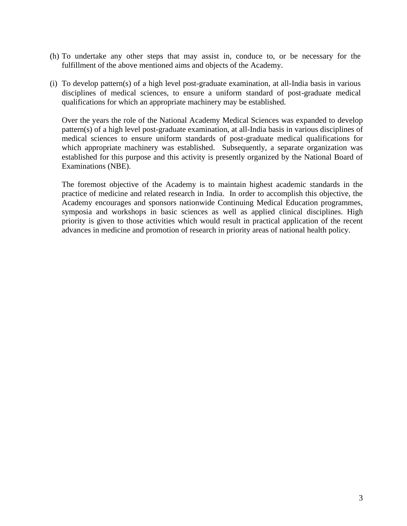- (h) To undertake any other steps that may assist in, conduce to, or be necessary for the fulfillment of the above mentioned aims and objects of the Academy.
- (i) To develop pattern(s) of a high level post-graduate examination, at all-India basis in various disciplines of medical sciences, to ensure a uniform standard of post-graduate medical qualifications for which an appropriate machinery may be established.

 Over the years the role of the National Academy Medical Sciences was expanded to develop pattern(s) of a high level post-graduate examination, at all-India basis in various disciplines of medical sciences to ensure uniform standards of post-graduate medical qualifications for which appropriate machinery was established. Subsequently, a separate organization was established for this purpose and this activity is presently organized by the National Board of Examinations (NBE).

The foremost objective of the Academy is to maintain highest academic standards in the practice of medicine and related research in India. In order to accomplish this objective, the Academy encourages and sponsors nationwide Continuing Medical Education programmes, symposia and workshops in basic sciences as well as applied clinical disciplines. High priority is given to those activities which would result in practical application of the recent advances in medicine and promotion of research in priority areas of national health policy.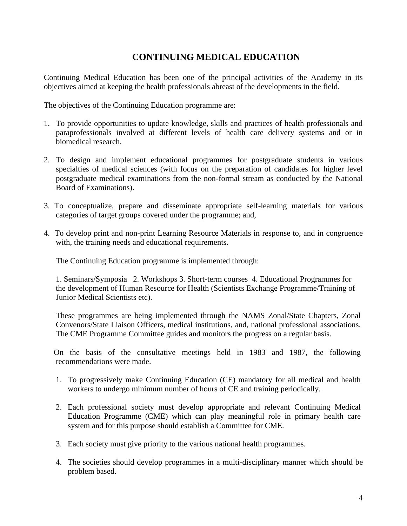## **CONTINUING MEDICAL EDUCATION**

Continuing Medical Education has been one of the principal activities of the Academy in its objectives aimed at keeping the health professionals abreast of the developments in the field.

The objectives of the Continuing Education programme are:

- 1. To provide opportunities to update knowledge, skills and practices of health professionals and paraprofessionals involved at different levels of health care delivery systems and or in biomedical research.
- 2. To design and implement educational programmes for postgraduate students in various specialties of medical sciences (with focus on the preparation of candidates for higher level postgraduate medical examinations from the non-formal stream as conducted by the National Board of Examinations).
- 3. To conceptualize, prepare and disseminate appropriate self-learning materials for various categories of target groups covered under the programme; and,
- 4. To develop print and non-print Learning Resource Materials in response to, and in congruence with, the training needs and educational requirements.

The Continuing Education programme is implemented through:

 1. Seminars/Symposia 2. Workshops 3. Short-term courses 4. Educational Programmes for the development of Human Resource for Health (Scientists Exchange Programme/Training of Junior Medical Scientists etc).

 These programmes are being implemented through the NAMS Zonal/State Chapters, Zonal Convenors/State Liaison Officers, medical institutions, and, national professional associations. The CME Programme Committee guides and monitors the progress on a regular basis.

 On the basis of the consultative meetings held in 1983 and 1987, the following recommendations were made.

- 1. To progressively make Continuing Education (CE) mandatory for all medical and health workers to undergo minimum number of hours of CE and training periodically.
- 2. Each professional society must develop appropriate and relevant Continuing Medical Education Programme (CME) which can play meaningful role in primary health care system and for this purpose should establish a Committee for CME.
- 3. Each society must give priority to the various national health programmes.
- 4. The societies should develop programmes in a multi-disciplinary manner which should be problem based.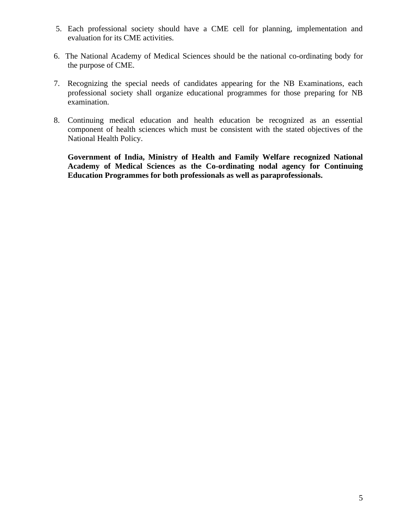- 5. Each professional society should have a CME cell for planning, implementation and evaluation for its CME activities.
- 6. The National Academy of Medical Sciences should be the national co-ordinating body for the purpose of CME.
- 7. Recognizing the special needs of candidates appearing for the NB Examinations, each professional society shall organize educational programmes for those preparing for NB examination.
- 8. Continuing medical education and health education be recognized as an essential component of health sciences which must be consistent with the stated objectives of the National Health Policy.

 **Government of India, Ministry of Health and Family Welfare recognized National Academy of Medical Sciences as the Co-ordinating nodal agency for Continuing Education Programmes for both professionals as well as paraprofessionals.**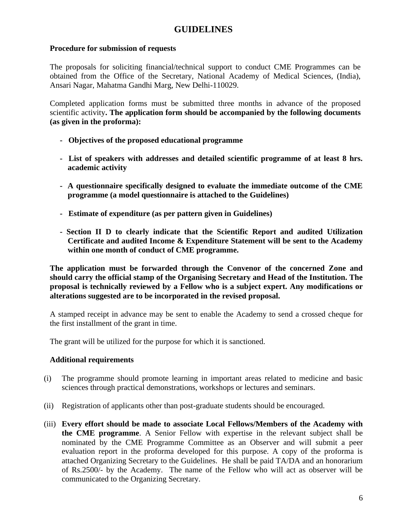#### **GUIDELINES**

#### **Procedure for submission of requests**

 The proposals for soliciting financial/technical support to conduct CME Programmes can be obtained from the Office of the Secretary, National Academy of Medical Sciences, (India), Ansari Nagar, Mahatma Gandhi Marg, New Delhi-110029.

 Completed application forms must be submitted three months in advance of the proposed scientific activity**. The application form should be accompanied by the following documents (as given in the proforma):** 

- **Objectives of the proposed educational programme**
- **List of speakers with addresses and detailed scientific programme of at least 8 hrs. academic activity**
- **A questionnaire specifically designed to evaluate the immediate outcome of the CME programme (a model questionnaire is attached to the Guidelines)**
- **Estimate of expenditure (as per pattern given in Guidelines)**
- **- Section II D to clearly indicate that the Scientific Report and audited Utilization Certificate and audited Income & Expenditure Statement will be sent to the Academy within one month of conduct of CME programme.**

**The application must be forwarded through the Convenor of the concerned Zone and should carry the official stamp of the Organising Secretary and Head of the Institution. The proposal is technically reviewed by a Fellow who is a subject expert. Any modifications or alterations suggested are to be incorporated in the revised proposal.**

A stamped receipt in advance may be sent to enable the Academy to send a crossed cheque for the first installment of the grant in time.

The grant will be utilized for the purpose for which it is sanctioned.

#### **Additional requirements**

- (i) The programme should promote learning in important areas related to medicine and basic sciences through practical demonstrations, workshops or lectures and seminars.
- (ii) Registration of applicants other than post-graduate students should be encouraged.
- (iii) **Every effort should be made to associate Local Fellows/Members of the Academy with the CME programme**. A Senior Fellow with expertise in the relevant subject shall be nominated by the CME Programme Committee as an Observer and will submit a peer evaluation report in the proforma developed for this purpose. A copy of the proforma is attached Organizing Secretary to the Guidelines. He shall be paid TA/DA and an honorarium of Rs.2500/- by the Academy. The name of the Fellow who will act as observer will be communicated to the Organizing Secretary.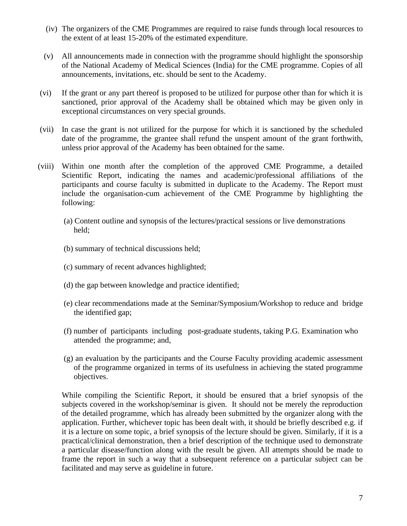- (iv) The organizers of the CME Programmes are required to raise funds through local resources to the extent of at least 15-20% of the estimated expenditure.
- (v) All announcements made in connection with the programme should highlight the sponsorship of the National Academy of Medical Sciences (India) for the CME programme. Copies of all announcements, invitations, etc. should be sent to the Academy.
- (vi) If the grant or any part thereof is proposed to be utilized for purpose other than for which it is sanctioned, prior approval of the Academy shall be obtained which may be given only in exceptional circumstances on very special grounds.
- (vii) In case the grant is not utilized for the purpose for which it is sanctioned by the scheduled date of the programme, the grantee shall refund the unspent amount of the grant forthwith, unless prior approval of the Academy has been obtained for the same.
- (viii) Within one month after the completion of the approved CME Programme, a detailed Scientific Report, indicating the names and academic/professional affiliations of the participants and course faculty is submitted in duplicate to the Academy. The Report must include the organisation-cum achievement of the CME Programme by highlighting the following:
	- (a) Content outline and synopsis of the lectures/practical sessions or live demonstrations held;
	- (b) summary of technical discussions held;
	- (c) summary of recent advances highlighted;
	- (d) the gap between knowledge and practice identified;
	- (e) clear recommendations made at the Seminar/Symposium/Workshop to reduce and bridge the identified gap;
	- (f) number of participants including post-graduate students, taking P.G. Examination who attended the programme; and,
	- (g) an evaluation by the participants and the Course Faculty providing academic assessment of the programme organized in terms of its usefulness in achieving the stated programme objectives.

 While compiling the Scientific Report, it should be ensured that a brief synopsis of the subjects covered in the workshop/seminar is given. It should not be merely the reproduction of the detailed programme, which has already been submitted by the organizer along with the application. Further, whichever topic has been dealt with, it should be briefly described e.g. if it is a lecture on some topic, a brief synopsis of the lecture should be given. Similarly, if it is a practical/clinical demonstration, then a brief description of the technique used to demonstrate a particular disease/function along with the result be given. All attempts should be made to frame the report in such a way that a subsequent reference on a particular subject can be facilitated and may serve as guideline in future.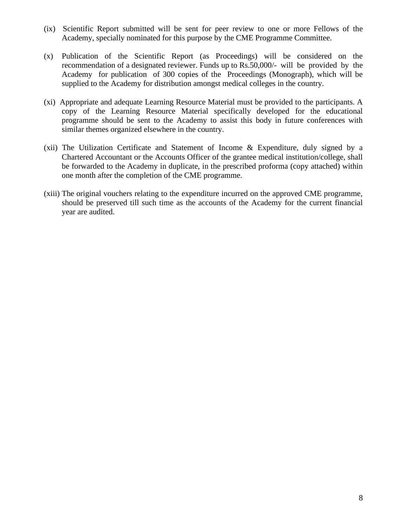- (ix) Scientific Report submitted will be sent for peer review to one or more Fellows of the Academy, specially nominated for this purpose by the CME Programme Committee.
- (x) Publication of the Scientific Report (as Proceedings) will be considered on the recommendation of a designated reviewer. Funds up to Rs.50,000/- will be provided by the Academy for publication of 300 copies of the Proceedings (Monograph), which will be supplied to the Academy for distribution amongst medical colleges in the country.
- (xi) Appropriate and adequate Learning Resource Material must be provided to the participants. A copy of the Learning Resource Material specifically developed for the educational programme should be sent to the Academy to assist this body in future conferences with similar themes organized elsewhere in the country.
- (xii) The Utilization Certificate and Statement of Income & Expenditure, duly signed by a Chartered Accountant or the Accounts Officer of the grantee medical institution/college, shall be forwarded to the Academy in duplicate, in the prescribed proforma (copy attached) within one month after the completion of the CME programme.
- (xiii) The original vouchers relating to the expenditure incurred on the approved CME programme, should be preserved till such time as the accounts of the Academy for the current financial year are audited.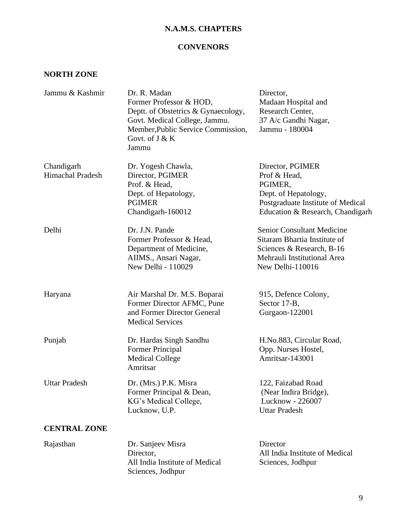#### **N.A.M.S. CHAPTERS**

#### **CONVENORS**

## **NORTH ZONE**

| Jammu & Kashmir                       | Dr. R. Madan<br>Former Professor & HOD,<br>Deptt. of Obstetrics & Gynaecology,<br>Govt. Medical College, Jammu.<br>Member, Public Service Commission,<br>Govt. of J & K<br>Jammu | Director,<br>Madaan Hospital and<br>Research Center,<br>37 A/c Gandhi Nagar,<br>Jammu - 180004                                                    |
|---------------------------------------|----------------------------------------------------------------------------------------------------------------------------------------------------------------------------------|---------------------------------------------------------------------------------------------------------------------------------------------------|
| Chandigarh<br><b>Himachal Pradesh</b> | Dr. Yogesh Chawla,<br>Director, PGIMER<br>Prof. & Head,<br>Dept. of Hepatology,<br><b>PGIMER</b><br>Chandigarh-160012                                                            | Director, PGIMER<br>Prof & Head,<br>PGIMER,<br>Dept. of Hepatology,<br>Postgraduate Institute of Medical<br>Education & Research, Chandigarh      |
| Delhi                                 | Dr. J.N. Pande<br>Former Professor & Head,<br>Department of Medicine,<br>AIIMS., Ansari Nagar,<br>New Delhi - 110029                                                             | <b>Senior Consultant Medicine</b><br>Sitaram Bhartia Institute of<br>Sciences & Research, B-16<br>Mehrauli Institutional Area<br>New Delhi-110016 |
| Haryana                               | Air Marshal Dr. M.S. Boparai<br>Former Director AFMC, Pune<br>and Former Director General<br><b>Medical Services</b>                                                             | 915, Defence Colony,<br>Sector 17-B,<br>Gurgaon-122001                                                                                            |
| Punjab                                | Dr. Hardas Singh Sandhu<br><b>Former Principal</b><br><b>Medical College</b><br>Amritsar                                                                                         | H.No.883, Circular Road,<br>Opp. Nurses Hostel,<br>Amritsar-143001                                                                                |
| <b>Uttar Pradesh</b>                  | Dr. (Mrs.) P.K. Misra<br>Former Principal & Dean,<br>KG's Medical College,<br>Lucknow, U.P.                                                                                      | 122, Faizabad Road<br>(Near Indira Bridge),<br>Lucknow - 226007<br><b>Uttar Pradesh</b>                                                           |
| <b>CENTRAL ZONE</b>                   |                                                                                                                                                                                  |                                                                                                                                                   |
| Rajasthan                             | Dr. Sanjeev Misra<br>Director,<br>All India Institute of Medical                                                                                                                 | Director<br>All India Institute of Medical<br>Sciences, Jodhpur                                                                                   |

Sciences, Jodhpur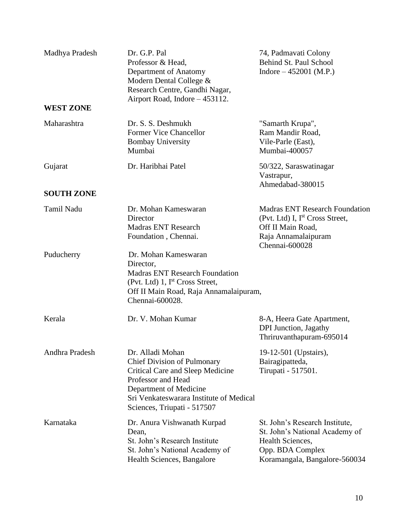| Madhya Pradesh    | Dr. G.P. Pal<br>Professor & Head,<br>Department of Anatomy<br>Modern Dental College &<br>Research Centre, Gandhi Nagar,<br>Airport Road, Indore – 453112.                                                            | 74, Padmavati Colony<br>Behind St. Paul School<br>Indore $-452001$ (M.P.)                                                                          |
|-------------------|----------------------------------------------------------------------------------------------------------------------------------------------------------------------------------------------------------------------|----------------------------------------------------------------------------------------------------------------------------------------------------|
| <b>WEST ZONE</b>  |                                                                                                                                                                                                                      |                                                                                                                                                    |
| Maharashtra       | Dr. S. S. Deshmukh<br><b>Former Vice Chancellor</b><br><b>Bombay University</b><br>Mumbai                                                                                                                            | "Samarth Krupa",<br>Ram Mandir Road,<br>Vile-Parle (East),<br>Mumbai-400057                                                                        |
| Gujarat           | Dr. Haribhai Patel                                                                                                                                                                                                   | 50/322, Saraswatinagar<br>Vastrapur,<br>Ahmedabad-380015                                                                                           |
| <b>SOUTH ZONE</b> |                                                                                                                                                                                                                      |                                                                                                                                                    |
| Tamil Nadu        | Dr. Mohan Kameswaran<br>Director<br><b>Madras ENT Research</b><br>Foundation, Chennai.                                                                                                                               | <b>Madras ENT Research Foundation</b><br>(Pvt. Ltd) I, I <sup>st</sup> Cross Street,<br>Off II Main Road,<br>Raja Annamalaipuram<br>Chennai-600028 |
| Puducherry        | Dr. Mohan Kameswaran<br>Director,<br><b>Madras ENT Research Foundation</b><br>(Pvt. Ltd) $1$ , I <sup>st</sup> Cross Street,<br>Off II Main Road, Raja Annamalaipuram,<br>Chennai-600028.                            |                                                                                                                                                    |
| Kerala            | Dr. V. Mohan Kumar                                                                                                                                                                                                   | 8-A, Heera Gate Apartment,<br><b>DPI</b> Junction, Jagathy<br>Thriruvanthapuram-695014                                                             |
| Andhra Pradesh    | Dr. Alladi Mohan<br><b>Chief Division of Pulmonary</b><br>Critical Care and Sleep Medicine<br>Professor and Head<br>Department of Medicine<br>Sri Venkateswarara Institute of Medical<br>Sciences, Triupati - 517507 | 19-12-501 (Upstairs),<br>Bairagipatteda,<br>Tirupati - 517501.                                                                                     |
| Karnataka         | Dr. Anura Vishwanath Kurpad<br>Dean,<br>St. John's Research Institute<br>St. John's National Academy of<br>Health Sciences, Bangalore                                                                                | St. John's Research Institute,<br>St. John's National Academy of<br>Health Sciences,<br>Opp. BDA Complex<br>Koramangala, Bangalore-560034          |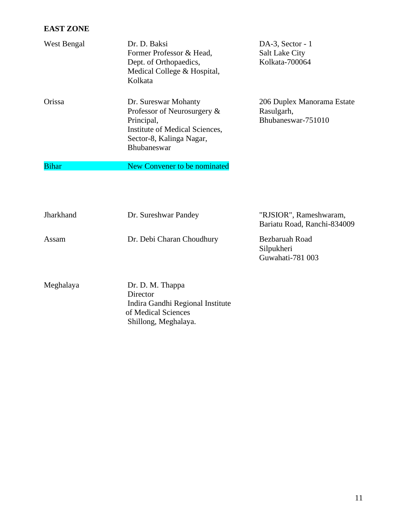## **EAST ZONE**

| West Bengal  | Dr. D. Baksi<br>Former Professor & Head,<br>Dept. of Orthopaedics,<br>Medical College & Hospital,<br>Kolkata                                   | $DA-3$ , Sector - 1<br><b>Salt Lake City</b><br>Kolkata-700064 |
|--------------|------------------------------------------------------------------------------------------------------------------------------------------------|----------------------------------------------------------------|
| Orissa       | Dr. Sureswar Mohanty<br>Professor of Neurosurgery &<br>Principal,<br>Institute of Medical Sciences,<br>Sector-8, Kalinga Nagar,<br>Bhubaneswar | 206 Duplex Manorama Estate<br>Rasulgarh,<br>Bhubaneswar-751010 |
| <b>Bihar</b> | New Convener to be nominated                                                                                                                   |                                                                |

| <b>Jharkhand</b> | Dr. Sureshwar Pandey      | "RJSIOR", Rameshwaram,<br>Bariatu Road, Ranchi-834009 |
|------------------|---------------------------|-------------------------------------------------------|
| Assam            | Dr. Debi Charan Choudhury | Bezbaruah Road<br>Silpukheri<br>Guwahati-781 003      |

Meghalaya Dr. D. M. Thappa Director Indira Gandhi Regional Institute of Medical Sciences Shillong, Meghalaya.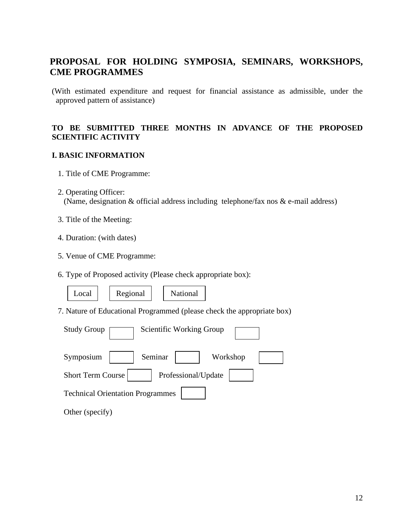## **PROPOSAL FOR HOLDING SYMPOSIA, SEMINARS, WORKSHOPS, CME PROGRAMMES**

 (With estimated expenditure and request for financial assistance as admissible, under the approved pattern of assistance)

#### **TO BE SUBMITTED THREE MONTHS IN ADVANCE OF THE PROPOSED SCIENTIFIC ACTIVITY**

#### **I. BASIC INFORMATION**

- 1. Title of CME Programme:
- 2. Operating Officer: (Name, designation & official address including telephone/fax nos & e-mail address)
- 3. Title of the Meeting:
- 4. Duration: (with dates)
- 5. Venue of CME Programme:
- 6. Type of Proposed activity (Please check appropriate box):



Local | Regional | National

7. Nature of Educational Programmed (please check the appropriate box)

| Scientific Working Group<br><b>Study Group</b>  |  |
|-------------------------------------------------|--|
| Symposium<br>Seminar<br>Workshop                |  |
| Professional/Update<br><b>Short Term Course</b> |  |
| <b>Technical Orientation Programmes</b>         |  |
| Other (specify)                                 |  |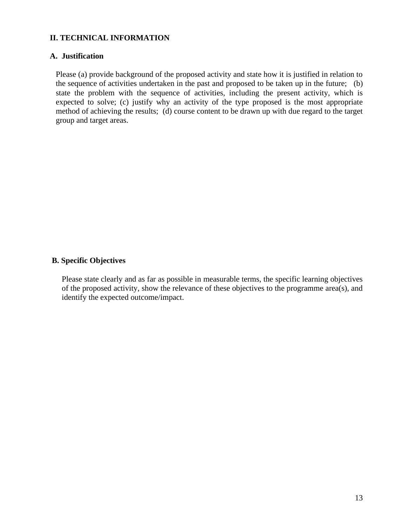#### **II. TECHNICAL INFORMATION**

#### **A. Justification**

Please (a) provide background of the proposed activity and state how it is justified in relation to the sequence of activities undertaken in the past and proposed to be taken up in the future; (b) state the problem with the sequence of activities, including the present activity, which is expected to solve; (c) justify why an activity of the type proposed is the most appropriate method of achieving the results; (d) course content to be drawn up with due regard to the target group and target areas.

#### **B. Specific Objectives**

 Please state clearly and as far as possible in measurable terms, the specific learning objectives of the proposed activity, show the relevance of these objectives to the programme area(s), and identify the expected outcome/impact.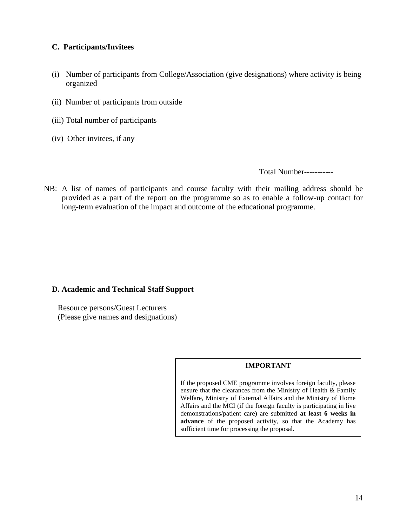#### **C. Participants/Invitees**

- (i) Number of participants from College/Association (give designations) where activity is being organized
- (ii) Number of participants from outside
- (iii) Total number of participants
- (iv) Other invitees, if any

Total Number-----------

NB: A list of names of participants and course faculty with their mailing address should be provided as a part of the report on the programme so as to enable a follow-up contact for long-term evaluation of the impact and outcome of the educational programme.

#### **D. Academic and Technical Staff Support**

 Resource persons/Guest Lecturers (Please give names and designations)

#### **IMPORTANT**

If the proposed CME programme involves foreign faculty, please ensure that the clearances from the Ministry of Health & Family Welfare, Ministry of External Affairs and the Ministry of Home Affairs and the MCI (if the foreign faculty is participating in live demonstrations/patient care) are submitted **at least 6 weeks in advance** of the proposed activity, so that the Academy has sufficient time for processing the proposal.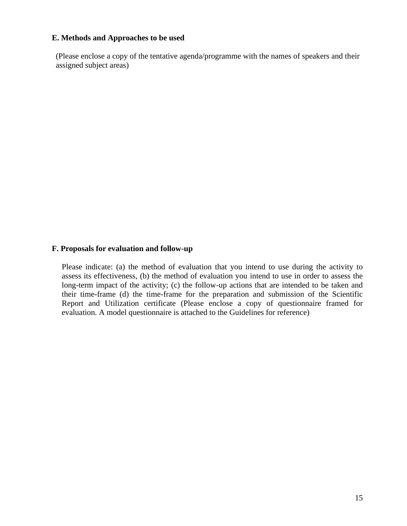#### **E. Methods and Approaches to be used**

 (Please enclose a copy of the tentative agenda/programme with the names of speakers and their assigned subject areas)

#### **F. Proposals for evaluation and follow-up**

 Please indicate: (a) the method of evaluation that you intend to use during the activity to assess its effectiveness, (b) the method of evaluation you intend to use in order to assess the long-term impact of the activity; (c) the follow-up actions that are intended to be taken and their time-frame (d) the time-frame for the preparation and submission of the Scientific Report and Utilization certificate (Please enclose a copy of questionnaire framed for evaluation. A model questionnaire is attached to the Guidelines for reference)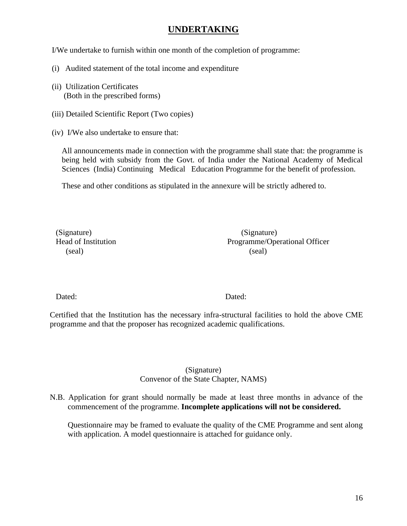## **UNDERTAKING**

I/We undertake to furnish within one month of the completion of programme:

- (i) Audited statement of the total income and expenditure
- (ii) Utilization Certificates (Both in the prescribed forms)
- (iii) Detailed Scientific Report (Two copies)
- (iv) I/We also undertake to ensure that:

 All announcements made in connection with the programme shall state that: the programme is being held with subsidy from the Govt. of India under the National Academy of Medical Sciences (India) Continuing Medical Education Programme for the benefit of profession.

These and other conditions as stipulated in the annexure will be strictly adhered to.

 (Signature) (Signature) (seal) (seal)

Head of Institution Programme/Operational Officer

Dated: Dated: Dated:

Certified that the Institution has the necessary infra-structural facilities to hold the above CME programme and that the proposer has recognized academic qualifications.

#### (Signature) Convenor of the State Chapter, NAMS)

N.B. Application for grant should normally be made at least three months in advance of the commencement of the programme. **Incomplete applications will not be considered.**

 Questionnaire may be framed to evaluate the quality of the CME Programme and sent along with application. A model questionnaire is attached for guidance only.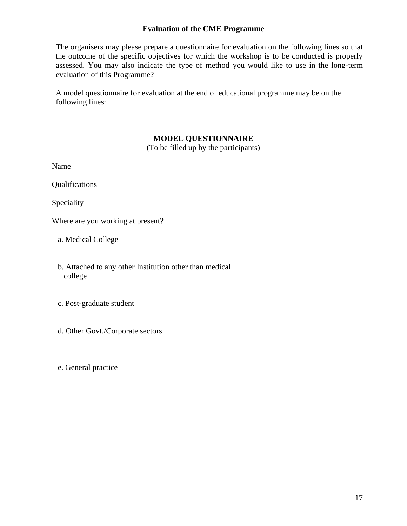#### **Evaluation of the CME Programme**

 The organisers may please prepare a questionnaire for evaluation on the following lines so that the outcome of the specific objectives for which the workshop is to be conducted is properly assessed. You may also indicate the type of method you would like to use in the long-term evaluation of this Programme?

A model questionnaire for evaluation at the end of educational programme may be on the following lines:

#### **MODEL QUESTIONNAIRE**

(To be filled up by the participants)

Name

Qualifications

Speciality

Where are you working at present?

a. Medical College

- b. Attached to any other Institution other than medical college
- c. Post-graduate student
- d. Other Govt./Corporate sectors
- e. General practice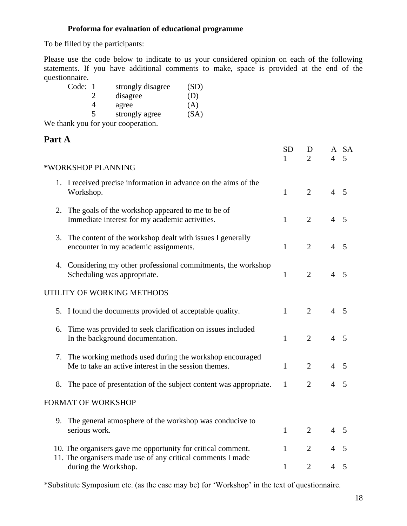#### **Proforma for evaluation of educational programme**

To be filled by the participants:

Please use the code below to indicate to us your considered opinion on each of the following statements. If you have additional comments to make, space is provided at the end of the questionnaire.

| (D)  |
|------|
| (A)  |
| (SA) |
|      |

We thank you for your cooperation.

## **Part A**

|    |                                                                                                                    | <b>SD</b><br>$\mathbf{1}$ | D<br>$\overline{2}$ | 4              | A SA<br>5                |
|----|--------------------------------------------------------------------------------------------------------------------|---------------------------|---------------------|----------------|--------------------------|
|    | *WORKSHOP PLANNING                                                                                                 |                           |                     |                |                          |
|    | 1. I received precise information in advance on the aims of the<br>Workshop.                                       | $\mathbf{1}$              | $\overline{2}$      | 4              | 5                        |
| 2. | The goals of the workshop appeared to me to be of<br>Immediate interest for my academic activities.                | $\mathbf{1}$              | $\overline{2}$      | 4              | 5                        |
|    | 3. The content of the workshop dealt with issues I generally<br>encounter in my academic assignments.              | $\mathbf{1}$              | $\overline{2}$      | 4              | 5                        |
|    | 4. Considering my other professional commitments, the workshop<br>Scheduling was appropriate.                      | $\mathbf{1}$              | $\overline{2}$      | 4              | $\overline{5}$           |
|    | UTILITY OF WORKING METHODS                                                                                         |                           |                     |                |                          |
|    | 5. I found the documents provided of acceptable quality.                                                           | $\mathbf{1}$              | $\overline{2}$      | $\overline{4}$ | 5                        |
|    | 6. Time was provided to seek clarification on issues included<br>In the background documentation.                  | $\mathbf{1}$              | $\overline{2}$      | 4              | $\overline{5}$           |
|    | 7. The working methods used during the workshop encouraged<br>Me to take an active interest in the session themes. | $\mathbf{1}$              | $\overline{2}$      | 4              | 5                        |
|    | 8. The pace of presentation of the subject content was appropriate.                                                | $\mathbf{1}$              | $\overline{2}$      | 4              | $\overline{\phantom{1}}$ |
|    | FORMAT OF WORKSHOP                                                                                                 |                           |                     |                |                          |
|    | 9. The general atmosphere of the workshop was conducive to<br>serious work.                                        | $\mathbf{1}$              | $\overline{2}$      | 4              | 5                        |
|    | 10. The organisers gave me opportunity for critical comment.                                                       | $\mathbf{1}$              | $\overline{2}$      | 4              | 5                        |
|    | 11. The organisers made use of any critical comments I made<br>during the Workshop.                                | $\mathbf{1}$              | $\overline{2}$      | 4              | 5                        |

\*Substitute Symposium etc. (as the case may be) for 'Workshop' in the text of questionnaire.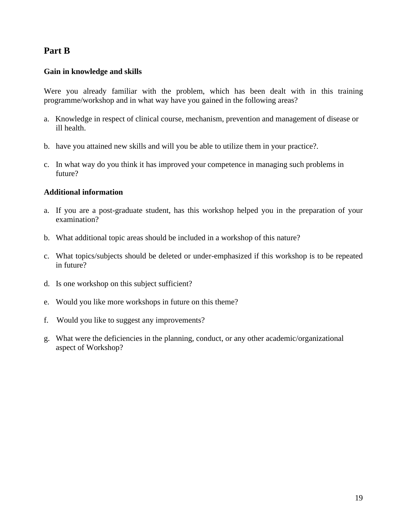## **Part B**

#### **Gain in knowledge and skills**

Were you already familiar with the problem, which has been dealt with in this training programme/workshop and in what way have you gained in the following areas?

- a. Knowledge in respect of clinical course, mechanism, prevention and management of disease or ill health.
- b. have you attained new skills and will you be able to utilize them in your practice?.
- c. In what way do you think it has improved your competence in managing such problems in future?

#### **Additional information**

- a. If you are a post-graduate student, has this workshop helped you in the preparation of your examination?
- b. What additional topic areas should be included in a workshop of this nature?
- c. What topics/subjects should be deleted or under-emphasized if this workshop is to be repeated in future?
- d. Is one workshop on this subject sufficient?
- e. Would you like more workshops in future on this theme?
- f. Would you like to suggest any improvements?
- g. What were the deficiencies in the planning, conduct, or any other academic/organizational aspect of Workshop?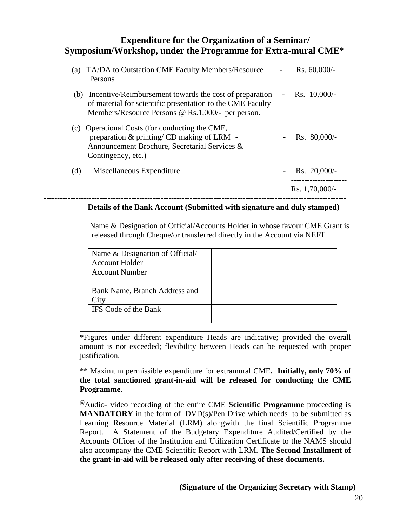### **Expenditure for the Organization of a Seminar/ Symposium/Workshop, under the Programme for Extra-mural CME\***

| (a) | TA/DA to Outstation CME Faculty Members/Resource<br>Persons                                                                                                                    |                | $Rs. 60,000/$ -   |
|-----|--------------------------------------------------------------------------------------------------------------------------------------------------------------------------------|----------------|-------------------|
|     | (b) Incentive/Reimbursement towards the cost of preparation<br>of material for scientific presentation to the CME Faculty<br>Members/Resource Persons @ Rs.1,000/- per person. | $\blacksquare$ | Rs. $10,000/-$    |
| (c) | Operational Costs (for conducting the CME,<br>preparation & printing/ CD making of LRM -<br>Announcement Brochure, Secretarial Services &<br>Contingency, etc.)                |                | Rs. $80,000/$ -   |
| (d) | Miscellaneous Expenditure                                                                                                                                                      |                | Rs. $20,000/-$    |
|     |                                                                                                                                                                                |                | $Rs. 1,70,000/$ - |

#### **Details of the Bank Account (Submitted with signature and duly stamped)**

 Name & Designation of Official/Accounts Holder in whose favour CME Grant is released through Cheque/or transferred directly in the Account via NEFT

| Name & Designation of Official/ |  |
|---------------------------------|--|
| <b>Account Holder</b>           |  |
| <b>Account Number</b>           |  |
|                                 |  |
| Bank Name, Branch Address and   |  |
|                                 |  |
| <b>IFS</b> Code of the Bank     |  |
|                                 |  |

\*Figures under different expenditure Heads are indicative; provided the overall amount is not exceeded; flexibility between Heads can be requested with proper justification.

\_\_\_\_\_\_\_\_\_\_\_\_\_\_\_\_\_\_\_\_\_\_\_\_\_\_\_\_\_\_\_\_\_\_\_\_\_\_\_\_\_\_\_\_\_\_\_\_\_\_\_\_\_\_\_\_\_\_\_\_\_\_\_\_\_\_\_

\*\* Maximum permissible expenditure for extramural CME**. Initially, only 70% of the total sanctioned grant-in-aid will be released for conducting the CME Programme**.

@Audio- video recording of the entire CME **Scientific Programme** proceeding is **MANDATORY** in the form of DVD(s)/Pen Drive which needs to be submitted as Learning Resource Material (LRM) alongwith the final Scientific Programme Report. A Statement of the Budgetary Expenditure Audited/Certified by the Accounts Officer of the Institution and Utilization Certificate to the NAMS should also accompany the CME Scientific Report with LRM. **The Second Installment of the grant-in-aid will be released only after receiving of these documents.**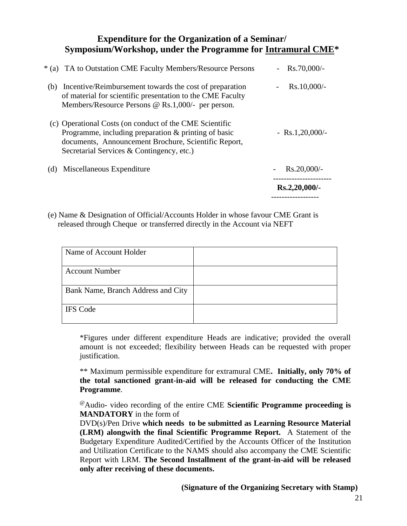## **Expenditure for the Organization of a Seminar/ Symposium/Workshop, under the Programme for Intramural CME\***

|     |                                                                                                                                                                                                                        | Rs.2,20,000/-      |
|-----|------------------------------------------------------------------------------------------------------------------------------------------------------------------------------------------------------------------------|--------------------|
| (d) | Miscellaneous Expenditure                                                                                                                                                                                              | $Rs.20,000/$ -     |
|     | (c) Operational Costs (on conduct of the CME Scientific<br>Programme, including preparation $&$ printing of basic<br>documents, Announcement Brochure, Scientific Report,<br>Secretarial Services & Contingency, etc.) | - $Rs.1,20,000/$ - |
| (b) | Incentive/Reimbursement towards the cost of preparation<br>of material for scientific presentation to the CME Faculty<br>Members/Resource Persons $\omega$ Rs.1,000/- per person.                                      | $Rs.10,000/-$      |
|     | * (a) TA to Outstation CME Faculty Members/Resource Persons                                                                                                                                                            | $Rs.70,000/$ -     |

 (e) Name & Designation of Official/Accounts Holder in whose favour CME Grant is released through Cheque or transferred directly in the Account via NEFT

| Name of Account Holder             |  |
|------------------------------------|--|
| <b>Account Number</b>              |  |
| Bank Name, Branch Address and City |  |
| <b>IFS</b> Code                    |  |

\*Figures under different expenditure Heads are indicative; provided the overall amount is not exceeded; flexibility between Heads can be requested with proper justification.

\*\* Maximum permissible expenditure for extramural CME**. Initially, only 70% of the total sanctioned grant-in-aid will be released for conducting the CME Programme**.

@Audio- video recording of the entire CME **Scientific Programme proceeding is MANDATORY** in the form of

DVD(s)/Pen Drive **which needs to be submitted as Learning Resource Material (LRM) alongwith the final Scientific Programme Report.** A Statement of the Budgetary Expenditure Audited/Certified by the Accounts Officer of the Institution and Utilization Certificate to the NAMS should also accompany the CME Scientific Report with LRM. **The Second Installment of the grant-in-aid will be released only after receiving of these documents.** 

 **(Signature of the Organizing Secretary with Stamp)**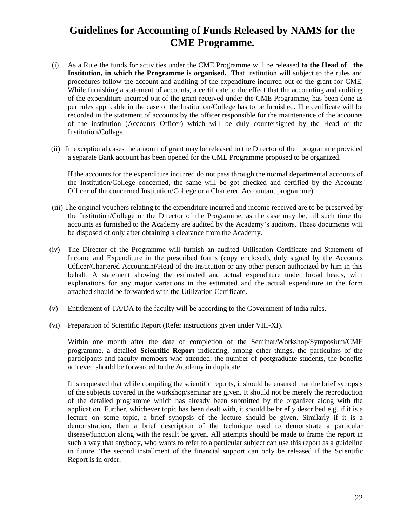## **Guidelines for Accounting of Funds Released by NAMS for the CME Programme.**

- (i) As a Rule the funds for activities under the CME Programme will be released **to the Head of the Institution, in which the Programme is organised.** That institution will subject to the rules and procedures follow the account and auditing of the expenditure incurred out of the grant for CME. While furnishing a statement of accounts, a certificate to the effect that the accounting and auditing of the expenditure incurred out of the grant received under the CME Programme, has been done as per rules applicable in the case of the Institution/College has to be furnished. The certificate will be recorded in the statement of accounts by the officer responsible for the maintenance of the accounts of the institution (Accounts Officer) which will be duly countersigned by the Head of the Institution/College.
- (ii) In exceptional cases the amount of grant may be released to the Director of the programme provided a separate Bank account has been opened for the CME Programme proposed to be organized.

 If the accounts for the expenditure incurred do not pass through the normal departmental accounts of the Institution/College concerned, the same will be got checked and certified by the Accounts Officer of the concerned Institution/College or a Chartered Accountant programme).

- (iii) The original vouchers relating to the expenditure incurred and income received are to be preserved by the Institution/College or the Director of the Programme, as the case may be, till such time the accounts as furnished to the Academy are audited by the Academy's auditors. These documents will be disposed of only after obtaining a clearance from the Academy.
- (iv) The Director of the Programme will furnish an audited Utilisation Certificate and Statement of Income and Expenditure in the prescribed forms (copy enclosed), duly signed by the Accounts Officer/Chartered Accountant/Head of the Institution or any other person authorized by him in this behalf. A statement showing the estimated and actual expenditure under broad heads, with explanations for any major variations in the estimated and the actual expenditure in the form attached should be forwarded with the Utilization Certificate.
- (v) Entitlement of TA/DA to the faculty will be according to the Government of India rules.
- (vi) Preparation of Scientific Report (Refer instructions given under VIII-XI).

Within one month after the date of completion of the Seminar/Workshop/Symposium/CME programme, a detailed **Scientific Report** indicating, among other things, the particulars of the participants and faculty members who attended, the number of postgraduate students, the benefits achieved should be forwarded to the Academy in duplicate.

It is requested that while compiling the scientific reports, it should be ensured that the brief synopsis of the subjects covered in the workshop/seminar are given. It should not be merely the reproduction of the detailed programme which has already been submitted by the organizer along with the application. Further, whichever topic has been dealt with, it should be briefly described e.g. if it is a lecture on some topic, a brief synopsis of the lecture should be given. Similarly if it is a demonstration, then a brief description of the technique used to demonstrate a particular disease/function along with the result be given. All attempts should be made to frame the report in such a way that anybody, who wants to refer to a particular subject can use this report as a guideline in future. The second installment of the financial support can only be released if the Scientific Report is in order.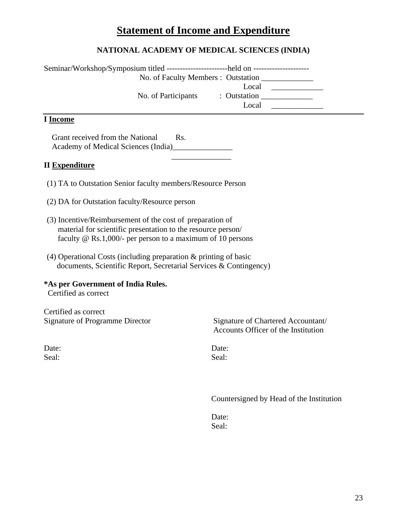## **Statement of Income and Expenditure**

#### **NATIONAL ACADEMY OF MEDICAL SCIENCES (INDIA)**

| No. of Faculty Members : Outstation |              |
|-------------------------------------|--------------|
|                                     | Local        |
| No. of Participants                 | : Outstation |
|                                     | Local        |
|                                     |              |

#### **I Income**

Grant received from the National Rs. Academy of Medical Sciences (India)\_\_\_\_\_\_\_\_\_\_\_\_\_\_\_  $\mathcal{L}_\text{max}$  and  $\mathcal{L}_\text{max}$  and  $\mathcal{L}_\text{max}$  and  $\mathcal{L}_\text{max}$  and  $\mathcal{L}_\text{max}$ 

#### **II Expenditure**

- (1) TA to Outstation Senior faculty members/Resource Person
- (2) DA for Outstation faculty/Resource person
- (3) Incentive/Reimbursement of the cost of preparation of material for scientific presentation to the resource person/ faculty @ Rs.1,000/- per person to a maximum of 10 persons
- (4) Operational Costs (including preparation & printing of basic documents, Scientific Report, Secretarial Services & Contingency)

#### **\*As per Government of India Rules.**

Certified as correct

Certified as correct

Date: Date: Seal: Seal: Seal: Seal: Seal: Seal: Seal: Seal: Seal: Seal: Seal: Seal: Seal: Seal: Seal: Seal: Seal: Seal: Seal: Seal: Seal: Seal: Seal: Seal: Seal: Seal: Seal: Seal: Seal: Seal: Seal: Seal: Seal: Seal: Seal: Seal: Seal:

Signature of Programme Director Signature of Chartered Accountant/ Accounts Officer of the Institution

Countersigned by Head of the Institution

Date: Seal: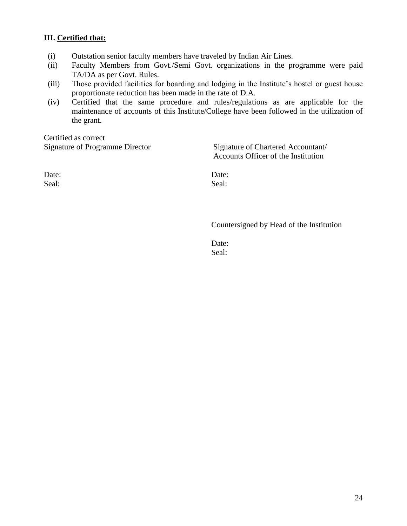#### **III. Certified that:**

- (i) Outstation senior faculty members have traveled by Indian Air Lines.
- (ii) Faculty Members from Govt./Semi Govt. organizations in the programme were paid TA/DA as per Govt. Rules.
- (iii) Those provided facilities for boarding and lodging in the Institute's hostel or guest house proportionate reduction has been made in the rate of D.A.
- (iv) Certified that the same procedure and rules/regulations as are applicable for the maintenance of accounts of this Institute/College have been followed in the utilization of the grant.

Certified as correct

Signature of Programme Director Signature of Chartered Accountant/ Accounts Officer of the Institution

Seal: Seal: Seal: Seal: Seal: Seal: Seal: Seal: Seal: Seal: Seal: Seal: Seal: Seal: Seal: Seal: Seal: Seal: Seal: Seal: Seal: Seal: Seal: Seal: Seal: Seal: Seal: Seal: Seal: Seal: Seal: Seal: Seal: Seal: Seal: Seal: Seal:

Date: Date:

Countersigned by Head of the Institution

Date: Seal: